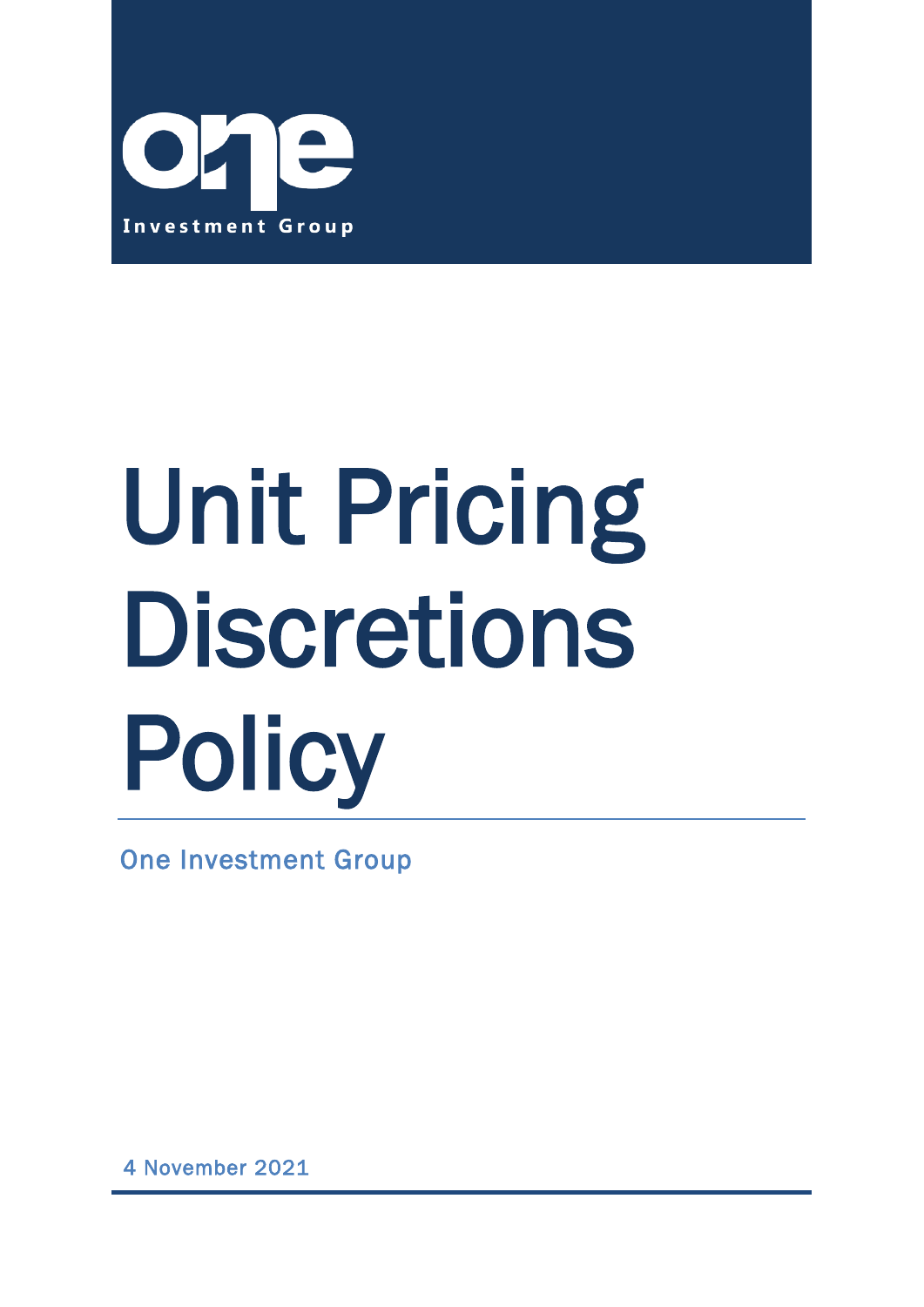

# Unit Pricing **Discretions** Policy

One Investment Group

4 November 2021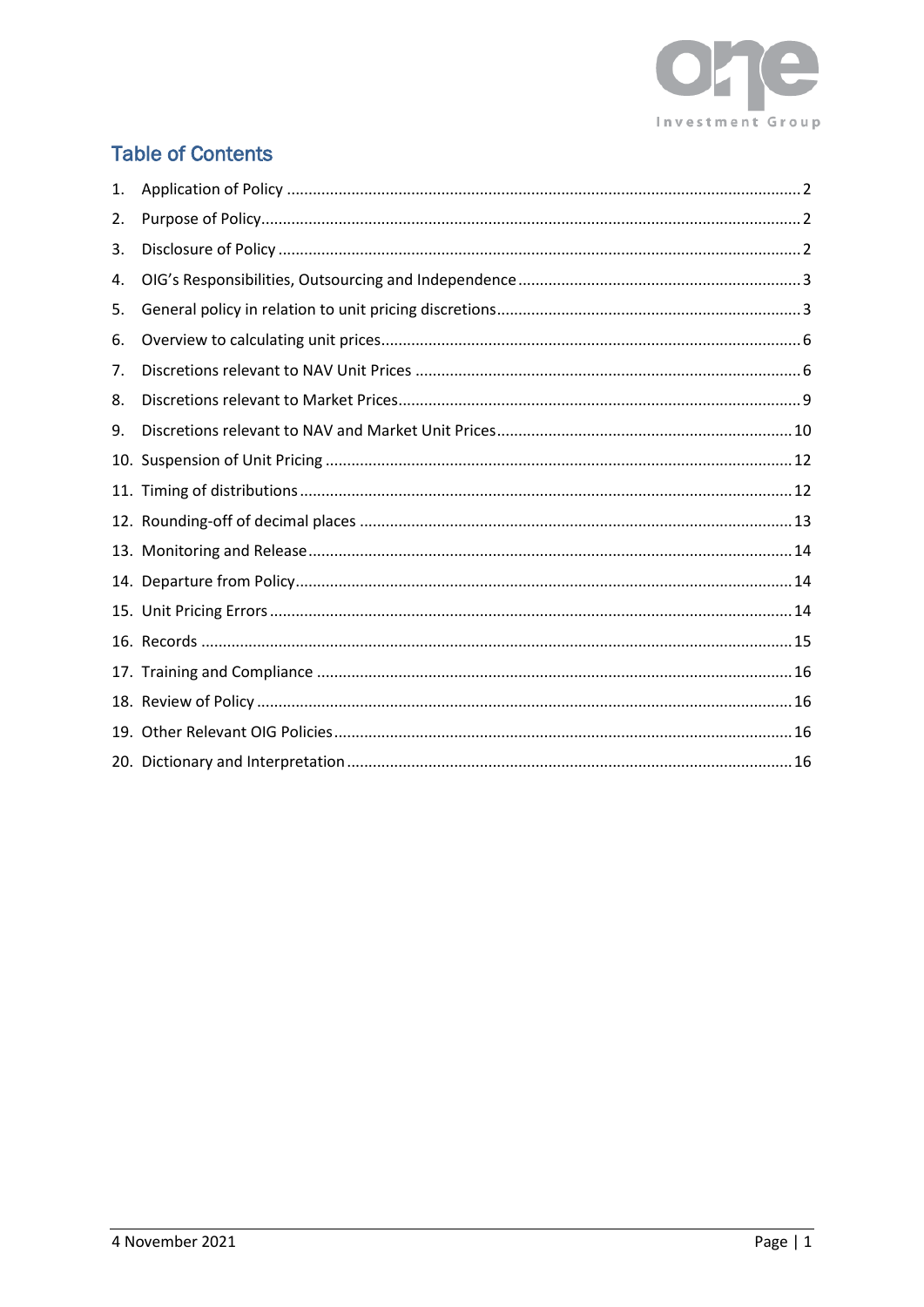

# **Table of Contents**

| 1.  |  |
|-----|--|
| 2.  |  |
| 3.  |  |
| 4.  |  |
| 5.  |  |
| 6.  |  |
| 7.  |  |
| 8.  |  |
| 9.  |  |
| 10. |  |
|     |  |
|     |  |
|     |  |
|     |  |
|     |  |
|     |  |
|     |  |
|     |  |
|     |  |
|     |  |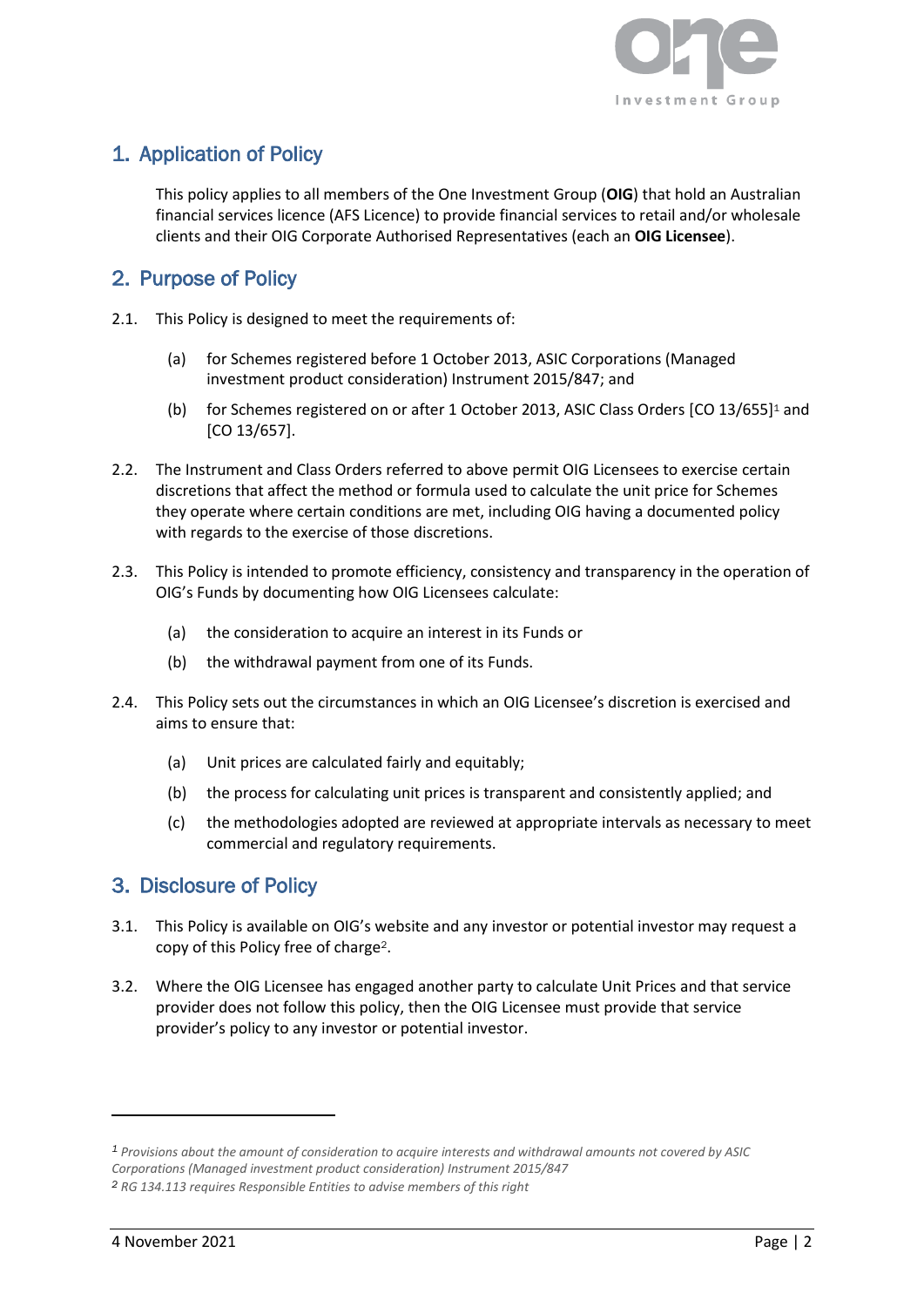

# <span id="page-2-0"></span>1. Application of Policy

This policy applies to all members of the One Investment Group (**OIG**) that hold an Australian financial services licence (AFS Licence) to provide financial services to retail and/or wholesale clients and their OIG Corporate Authorised Representatives (each an **OIG Licensee**).

## <span id="page-2-1"></span>2. Purpose of Policy

- 2.1. This Policy is designed to meet the requirements of:
	- (a) for Schemes registered before 1 October 2013, ASIC Corporations (Managed investment product consideration) Instrument 2015/847; and
	- (b) for Schemes registered on or after 1 October 2013, ASIC Class Orders [CO 13/655]<sup>1</sup> and [CO 13/657].
- 2.2. The Instrument and Class Orders referred to above permit OIG Licensees to exercise certain discretions that affect the method or formula used to calculate the unit price for Schemes they operate where certain conditions are met, including OIG having a documented policy with regards to the exercise of those discretions.
- 2.3. This Policy is intended to promote efficiency, consistency and transparency in the operation of OIG's Funds by documenting how OIG Licensees calculate:
	- (a) the consideration to acquire an interest in its Funds or
	- (b) the withdrawal payment from one of its Funds.
- 2.4. This Policy sets out the circumstances in which an OIG Licensee's discretion is exercised and aims to ensure that:
	- (a) Unit prices are calculated fairly and equitably;
	- (b) the process for calculating unit prices is transparent and consistently applied; and
	- (c) the methodologies adopted are reviewed at appropriate intervals as necessary to meet commercial and regulatory requirements.

## <span id="page-2-2"></span>3. Disclosure of Policy

- 3.1. This Policy is available on OIG's website and any investor or potential investor may request a copy of this Policy free of charge2.
- 3.2. Where the OIG Licensee has engaged another party to calculate Unit Prices and that service provider does not follow this policy, then the OIG Licensee must provide that service provider's policy to any investor or potential investor.

*<sup>1</sup> Provisions about the amount of consideration to acquire interests and withdrawal amounts not covered by ASIC Corporations (Managed investment product consideration) Instrument 2015/847*

*<sup>2</sup> RG 134.113 requires Responsible Entities to advise members of this right*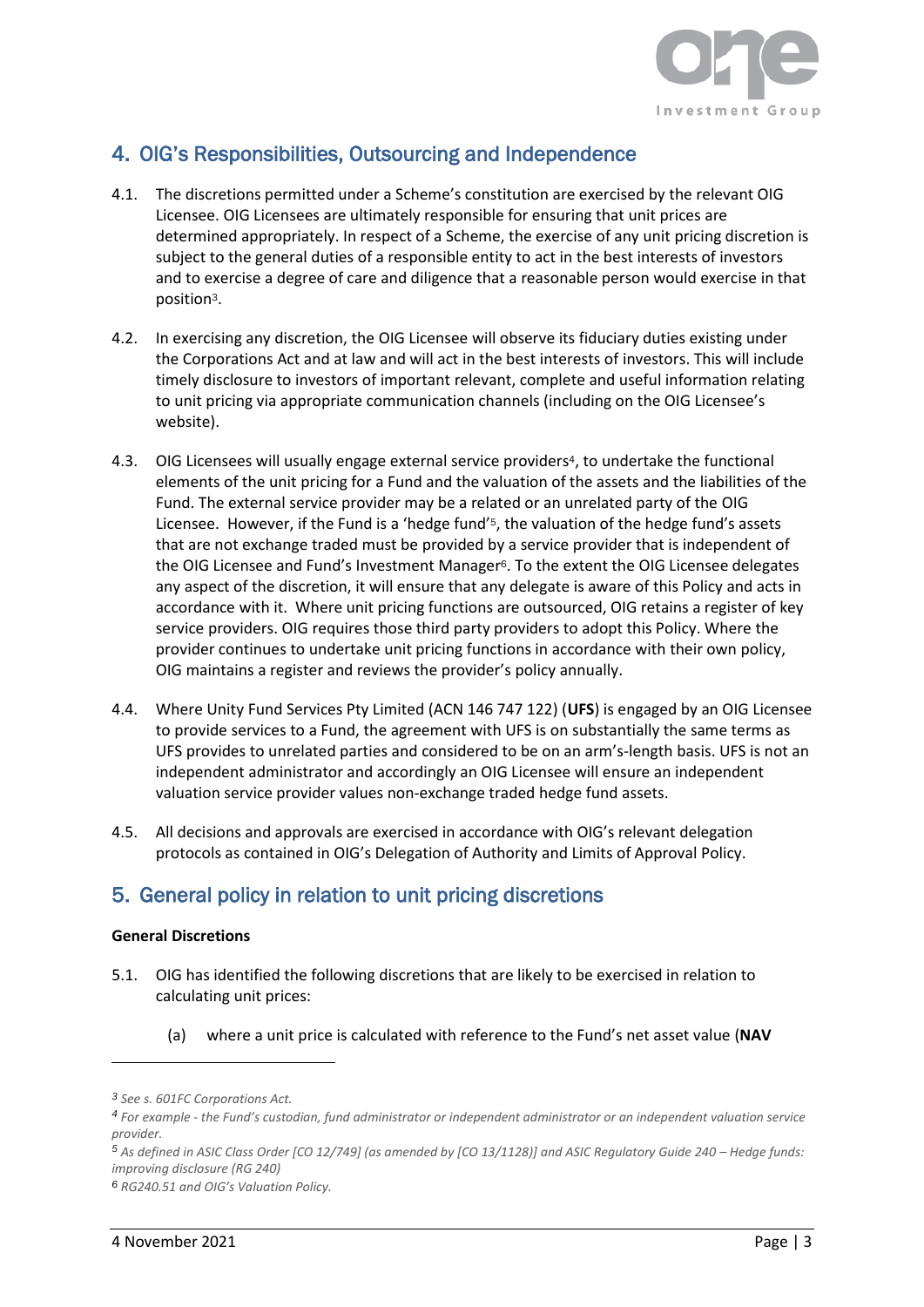

# <span id="page-3-0"></span>4. OIG's Responsibilities, Outsourcing and Independence

- 4.1. The discretions permitted under a Scheme's constitution are exercised by the relevant OIG Licensee. OIG Licensees are ultimately responsible for ensuring that unit prices are determined appropriately. In respect of a Scheme, the exercise of any unit pricing discretion is subject to the general duties of a responsible entity to act in the best interests of investors and to exercise a degree of care and diligence that a reasonable person would exercise in that position3.
- 4.2. In exercising any discretion, the OIG Licensee will observe its fiduciary duties existing under the Corporations Act and at law and will act in the best interests of investors. This will include timely disclosure to investors of important relevant, complete and useful information relating to unit pricing via appropriate communication channels (including on the OIG Licensee's website).
- 4.3. OIG Licensees will usually engage external service providers <sup>4</sup>, to undertake the functional elements of the unit pricing for a Fund and the valuation of the assets and the liabilities of the Fund. The external service provider may be a related or an unrelated party of the OIG Licensee. However, if the Fund is a 'hedge fund'5, the valuation of the hedge fund's assets that are not exchange traded must be provided by a service provider that is independent of the OIG Licensee and Fund's Investment Manager6. To the extent the OIG Licensee delegates any aspect of the discretion, it will ensure that any delegate is aware of this Policy and acts in accordance with it. Where unit pricing functions are outsourced, OIG retains a register of key service providers. OIG requires those third party providers to adopt this Policy. Where the provider continues to undertake unit pricing functions in accordance with their own policy, OIG maintains a register and reviews the provider's policy annually.
- 4.4. Where Unity Fund Services Pty Limited (ACN 146 747 122) (**UFS**) is engaged by an OIG Licensee to provide services to a Fund, the agreement with UFS is on substantially the same terms as UFS provides to unrelated parties and considered to be on an arm's-length basis. UFS is not an independent administrator and accordingly an OIG Licensee will ensure an independent valuation service provider values non-exchange traded hedge fund assets.
- 4.5. All decisions and approvals are exercised in accordance with OIG's relevant delegation protocols as contained in OIG's Delegation of Authority and Limits of Approval Policy.

# <span id="page-3-1"></span>5. General policy in relation to unit pricing discretions

#### **General Discretions**

- 5.1. OIG has identified the following discretions that are likely to be exercised in relation to calculating unit prices:
	- (a) where a unit price is calculated with reference to the Fund's net asset value (**NAV**

*<sup>3</sup> See s. 601FC Corporations Act.* 

*<sup>4</sup> For example - the Fund's custodian, fund administrator or independent administrator or an independent valuation service provider.* 

*<sup>5</sup> As defined in ASIC Class Order [CO 12/749] (as amended by [CO 13/1128)] and ASIC Regulatory Guide 240 – Hedge funds: improving disclosure (RG 240)*

*<sup>6</sup> RG240.51 and OIG's Valuation Policy.*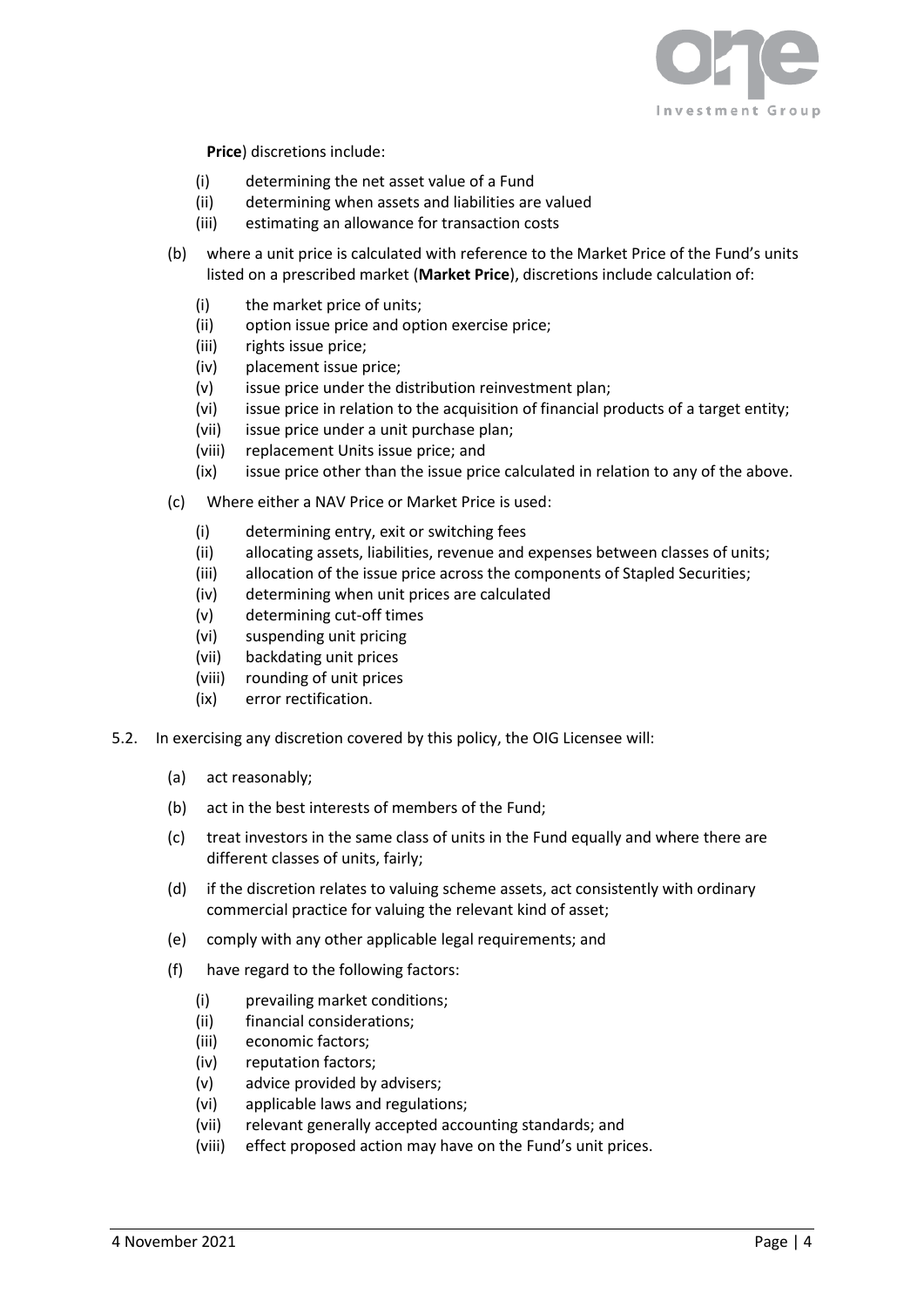

**Price**) discretions include:

- (i) determining the net asset value of a Fund
- (ii) determining when assets and liabilities are valued
- (iii) estimating an allowance for transaction costs
- (b) where a unit price is calculated with reference to the Market Price of the Fund's units listed on a prescribed market (**Market Price**), discretions include calculation of:
	- (i) the market price of units;
	- (ii) option issue price and option exercise price;
	- (iii) rights issue price;
	- (iv) placement issue price;
	- (v) issue price under the distribution reinvestment plan;
	- (vi) issue price in relation to the acquisition of financial products of a target entity;
	- (vii) issue price under a unit purchase plan;
	- (viii) replacement Units issue price; and
	- (ix) issue price other than the issue price calculated in relation to any of the above.
- (c) Where either a NAV Price or Market Price is used:
	- (i) determining entry, exit or switching fees
	- (ii) allocating assets, liabilities, revenue and expenses between classes of units;
	- (iii) allocation of the issue price across the components of Stapled Securities;
	- (iv) determining when unit prices are calculated
	- (v) determining cut-off times
	- (vi) suspending unit pricing
	- (vii) backdating unit prices
	- (viii) rounding of unit prices
	- (ix) error rectification.
- 5.2. In exercising any discretion covered by this policy, the OIG Licensee will:
	- (a) act reasonably;
	- (b) act in the best interests of members of the Fund;
	- (c) treat investors in the same class of units in the Fund equally and where there are different classes of units, fairly;
	- (d) if the discretion relates to valuing scheme assets, act consistently with ordinary commercial practice for valuing the relevant kind of asset;
	- (e) comply with any other applicable legal requirements; and
	- (f) have regard to the following factors:
		- (i) prevailing market conditions;
		- (ii) financial considerations;
		- (iii) economic factors;
		- (iv) reputation factors;
		- (v) advice provided by advisers;
		- (vi) applicable laws and regulations;
		- (vii) relevant generally accepted accounting standards; and
		- (viii) effect proposed action may have on the Fund's unit prices.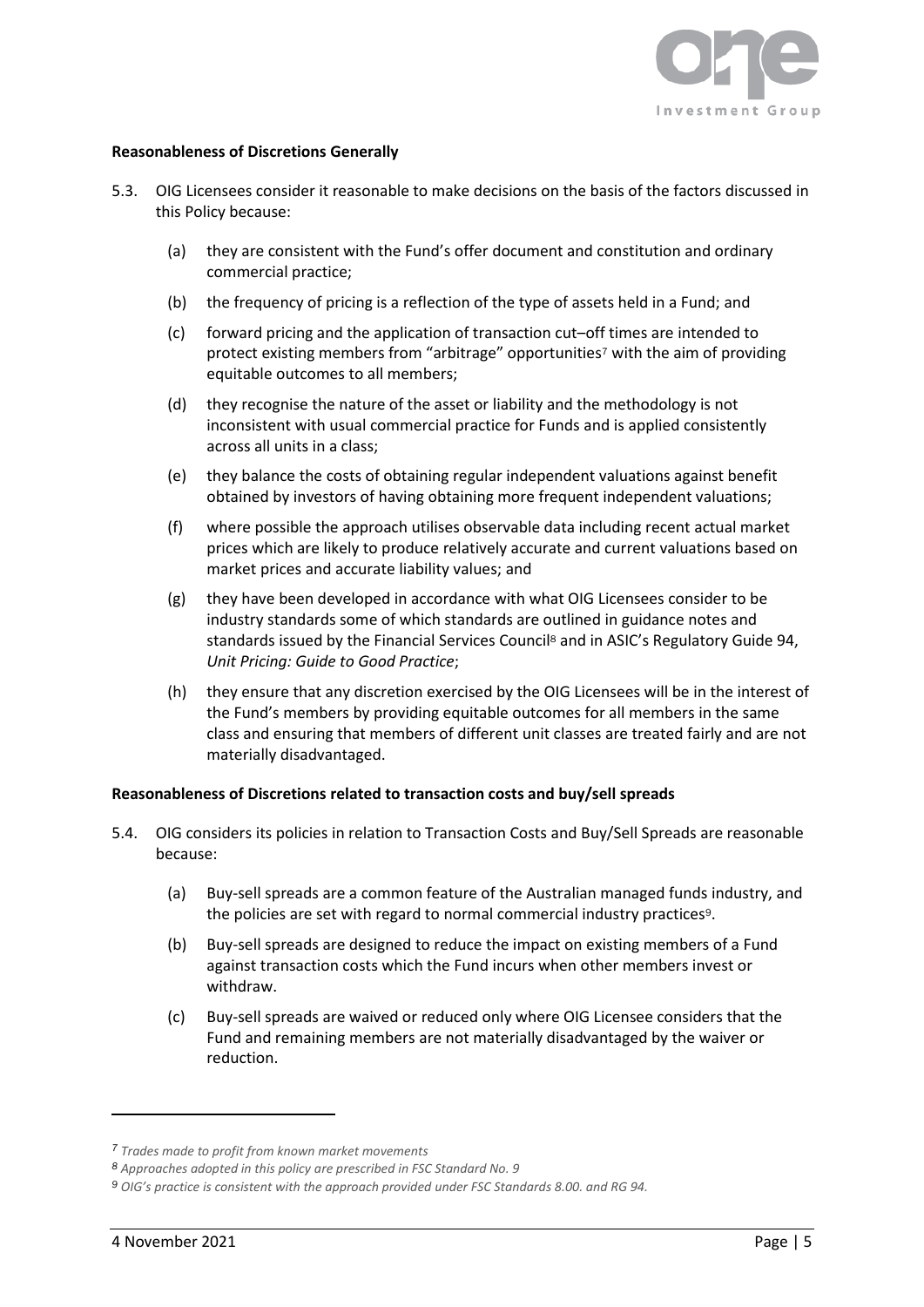

#### **Reasonableness of Discretions Generally**

- 5.3. OIG Licensees consider it reasonable to make decisions on the basis of the factors discussed in this Policy because:
	- (a) they are consistent with the Fund's offer document and constitution and ordinary commercial practice;
	- (b) the frequency of pricing is a reflection of the type of assets held in a Fund; and
	- (c) forward pricing and the application of transaction cut–off times are intended to protect existing members from "arbitrage" opportunities<sup>7</sup> with the aim of providing equitable outcomes to all members;
	- (d) they recognise the nature of the asset or liability and the methodology is not inconsistent with usual commercial practice for Funds and is applied consistently across all units in a class;
	- (e) they balance the costs of obtaining regular independent valuations against benefit obtained by investors of having obtaining more frequent independent valuations;
	- (f) where possible the approach utilises observable data including recent actual market prices which are likely to produce relatively accurate and current valuations based on market prices and accurate liability values; and
	- (g) they have been developed in accordance with what OIG Licensees consider to be industry standards some of which standards are outlined in guidance notes and standards issued by the Financial Services Council<sup>8</sup> and in ASIC's Regulatory Guide 94. *Unit Pricing: Guide to Good Practice*;
	- (h) they ensure that any discretion exercised by the OIG Licensees will be in the interest of the Fund's members by providing equitable outcomes for all members in the same class and ensuring that members of different unit classes are treated fairly and are not materially disadvantaged.

#### **Reasonableness of Discretions related to transaction costs and buy/sell spreads**

- 5.4. OIG considers its policies in relation to Transaction Costs and Buy/Sell Spreads are reasonable because:
	- (a) Buy-sell spreads are a common feature of the Australian managed funds industry, and the policies are set with regard to normal commercial industry practices<sup>9</sup>.
	- (b) Buy-sell spreads are designed to reduce the impact on existing members of a Fund against transaction costs which the Fund incurs when other members invest or withdraw.
	- (c) Buy-sell spreads are waived or reduced only where OIG Licensee considers that the Fund and remaining members are not materially disadvantaged by the waiver or reduction.

*<sup>7</sup> Trades made to profit from known market movements*

*<sup>8</sup> Approaches adopted in this policy are prescribed in FSC Standard No. 9*

*<sup>9</sup> OIG's practice is consistent with the approach provided under FSC Standards 8.00. and RG 94.*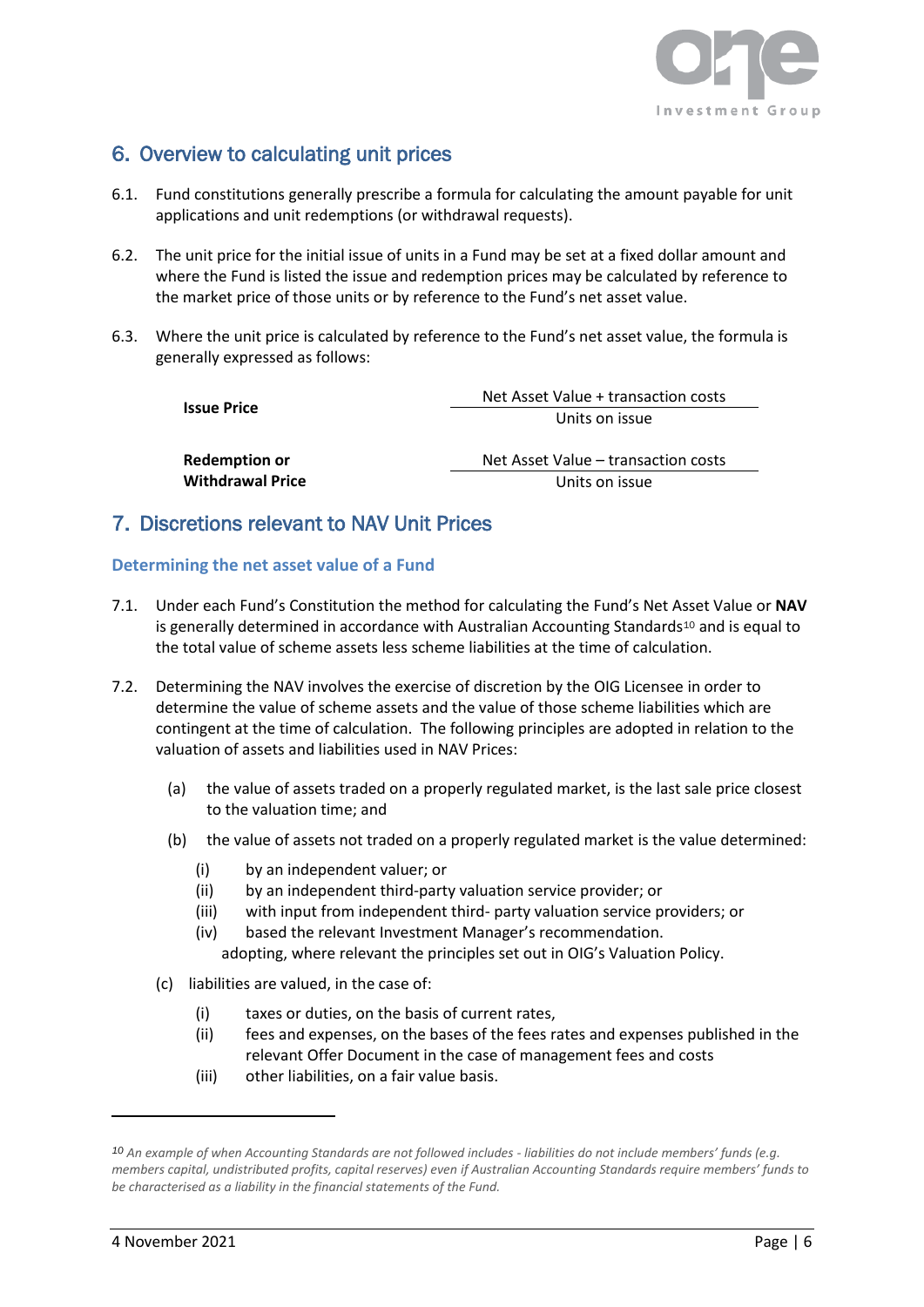

# <span id="page-6-0"></span>6. Overview to calculating unit prices

- 6.1. Fund constitutions generally prescribe a formula for calculating the amount payable for unit applications and unit redemptions (or withdrawal requests).
- 6.2. The unit price for the initial issue of units in a Fund may be set at a fixed dollar amount and where the Fund is listed the issue and redemption prices may be calculated by reference to the market price of those units or by reference to the Fund's net asset value.
- 6.3. Where the unit price is calculated by reference to the Fund's net asset value, the formula is generally expressed as follows:

|                         | Net Asset Value + transaction costs |
|-------------------------|-------------------------------------|
| Issue Price             | Units on issue                      |
| <b>Redemption or</b>    | Net Asset Value - transaction costs |
| <b>Withdrawal Price</b> | Units on issue                      |

## <span id="page-6-1"></span>7. Discretions relevant to NAV Unit Prices

#### **Determining the net asset value of a Fund**

- 7.1. Under each Fund's Constitution the method for calculating the Fund's Net Asset Value or **NAV** is generally determined in accordance with Australian Accounting Standards<sup>10</sup> and is equal to the total value of scheme assets less scheme liabilities at the time of calculation.
- 7.2. Determining the NAV involves the exercise of discretion by the OIG Licensee in order to determine the value of scheme assets and the value of those scheme liabilities which are contingent at the time of calculation. The following principles are adopted in relation to the valuation of assets and liabilities used in NAV Prices:
	- (a) the value of assets traded on a properly regulated market, is the last sale price closest to the valuation time; and
	- (b) the value of assets not traded on a properly regulated market is the value determined:
		- (i) by an independent valuer; or
		- (ii) by an independent third-party valuation service provider; or
		- (iii) with input from independent third- party valuation service providers; or
		- (iv) based the relevant Investment Manager's recommendation. adopting, where relevant the principles set out in OIG's Valuation Policy.
	- (c) liabilities are valued, in the case of:
		- (i) taxes or duties, on the basis of current rates,
		- (ii) fees and expenses, on the bases of the fees rates and expenses published in the relevant Offer Document in the case of management fees and costs
		- (iii) other liabilities, on a fair value basis.

*<sup>10</sup> An example of when Accounting Standards are not followed includes - liabilities do not include members' funds (e.g. members capital, undistributed profits, capital reserves) even if Australian Accounting Standards require members' funds to be characterised as a liability in the financial statements of the Fund.*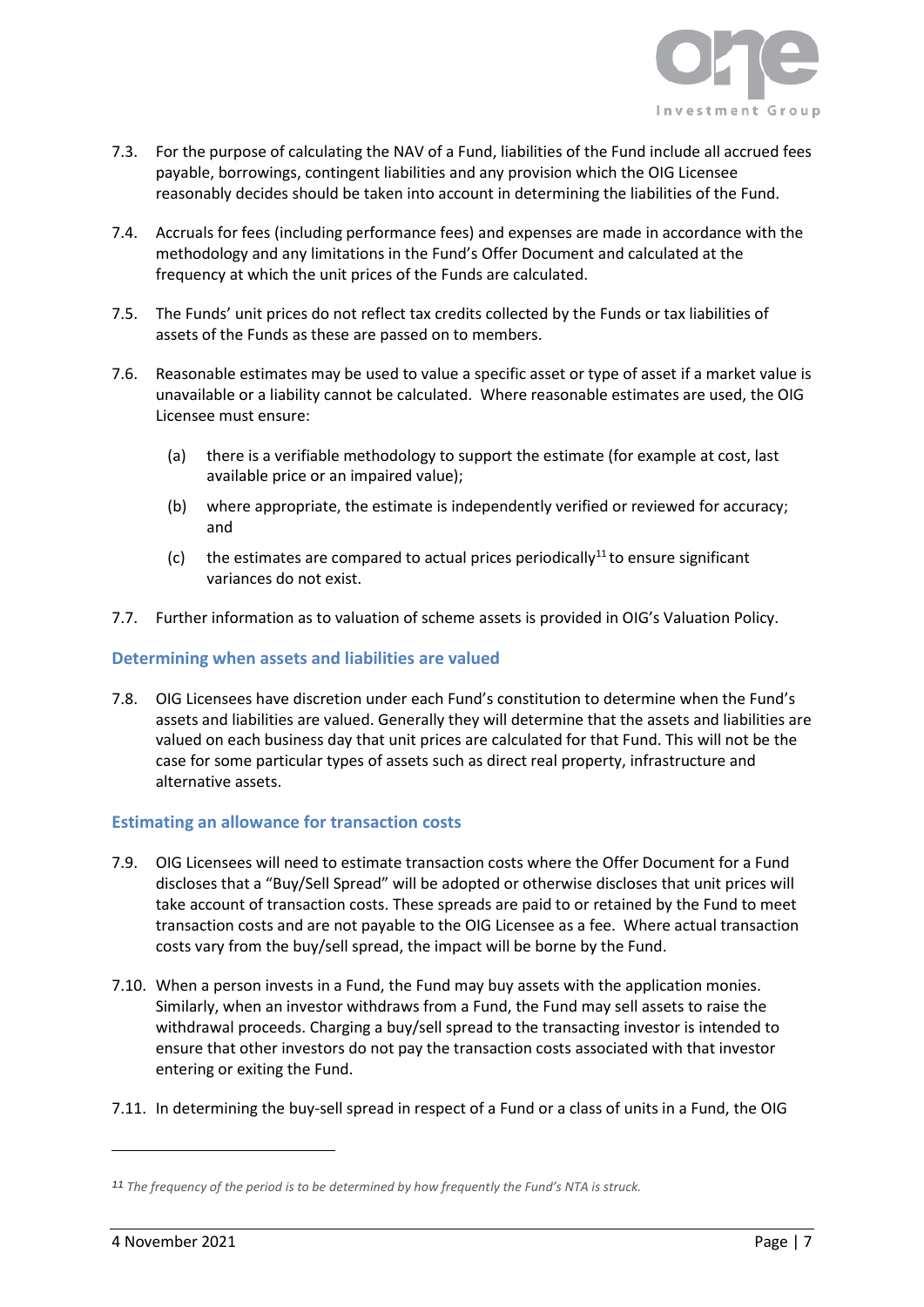

- 7.3. For the purpose of calculating the NAV of a Fund, liabilities of the Fund include all accrued fees payable, borrowings, contingent liabilities and any provision which the OIG Licensee reasonably decides should be taken into account in determining the liabilities of the Fund.
- 7.4. Accruals for fees (including performance fees) and expenses are made in accordance with the methodology and any limitations in the Fund's Offer Document and calculated at the frequency at which the unit prices of the Funds are calculated.
- 7.5. The Funds' unit prices do not reflect tax credits collected by the Funds or tax liabilities of assets of the Funds as these are passed on to members.
- 7.6. Reasonable estimates may be used to value a specific asset or type of asset if a market value is unavailable or a liability cannot be calculated. Where reasonable estimates are used, the OIG Licensee must ensure:
	- (a) there is a verifiable methodology to support the estimate (for example at cost, last available price or an impaired value);
	- (b) where appropriate, the estimate is independently verified or reviewed for accuracy; and
	- (c) the estimates are compared to actual prices periodically<sup>11</sup> to ensure significant variances do not exist.
- 7.7. Further information as to valuation of scheme assets is provided in OIG's Valuation Policy.

#### **Determining when assets and liabilities are valued**

7.8. OIG Licensees have discretion under each Fund's constitution to determine when the Fund's assets and liabilities are valued. Generally they will determine that the assets and liabilities are valued on each business day that unit prices are calculated for that Fund. This will not be the case for some particular types of assets such as direct real property, infrastructure and alternative assets.

#### **Estimating an allowance for transaction costs**

- 7.9. OIG Licensees will need to estimate transaction costs where the Offer Document for a Fund discloses that a "Buy/Sell Spread" will be adopted or otherwise discloses that unit prices will take account of transaction costs. These spreads are paid to or retained by the Fund to meet transaction costs and are not payable to the OIG Licensee as a fee. Where actual transaction costs vary from the buy/sell spread, the impact will be borne by the Fund.
- 7.10. When a person invests in a Fund, the Fund may buy assets with the application monies. Similarly, when an investor withdraws from a Fund, the Fund may sell assets to raise the withdrawal proceeds. Charging a buy/sell spread to the transacting investor is intended to ensure that other investors do not pay the transaction costs associated with that investor entering or exiting the Fund.
- 7.11. In determining the buy-sell spread in respect of a Fund or a class of units in a Fund, the OIG

*<sup>11</sup> The frequency of the period is to be determined by how frequently the Fund's NTA is struck.*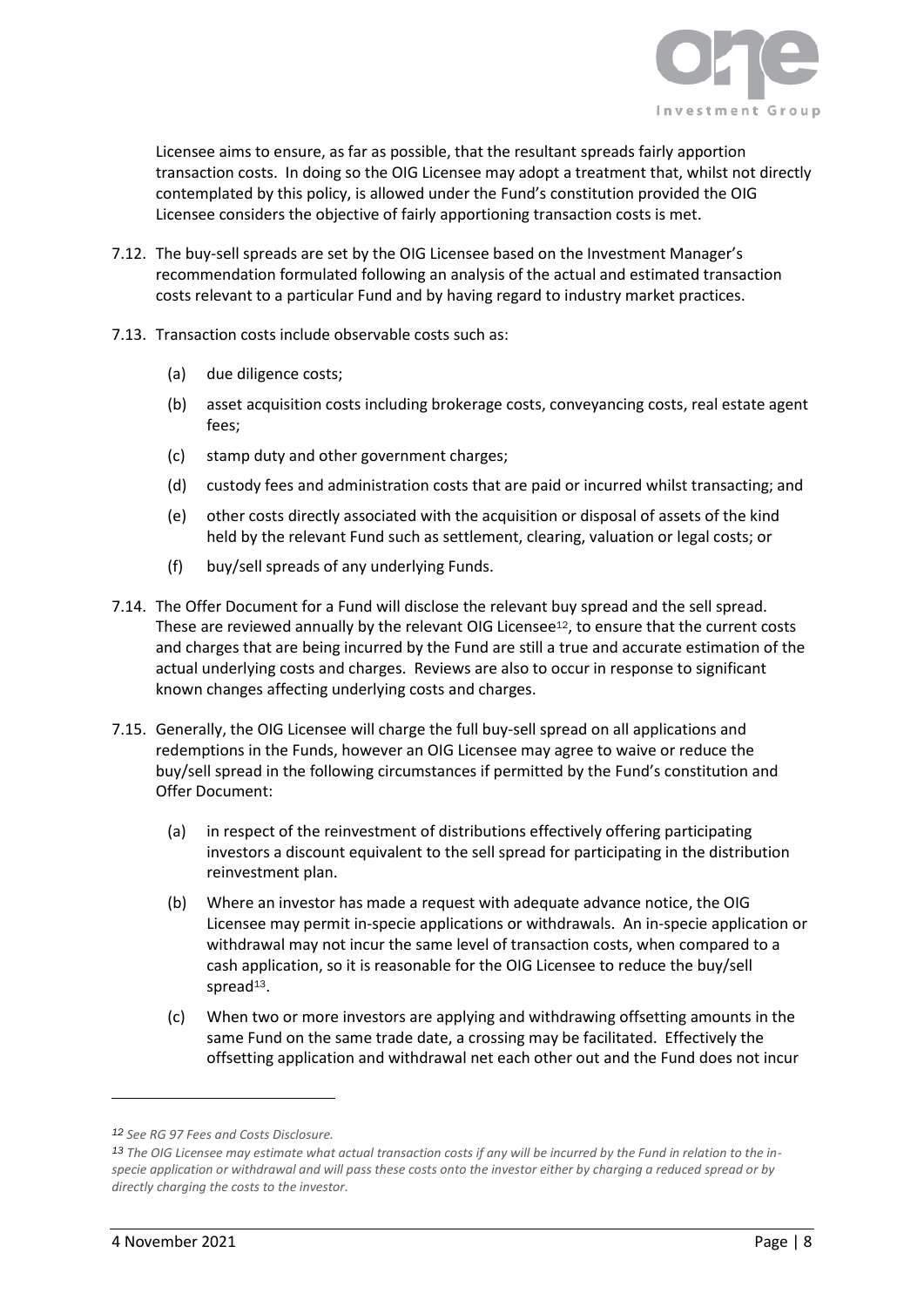

Licensee aims to ensure, as far as possible, that the resultant spreads fairly apportion transaction costs. In doing so the OIG Licensee may adopt a treatment that, whilst not directly contemplated by this policy, is allowed under the Fund's constitution provided the OIG Licensee considers the objective of fairly apportioning transaction costs is met.

- 7.12. The buy-sell spreads are set by the OIG Licensee based on the Investment Manager's recommendation formulated following an analysis of the actual and estimated transaction costs relevant to a particular Fund and by having regard to industry market practices.
- 7.13. Transaction costs include observable costs such as:
	- (a) due diligence costs;
	- (b) asset acquisition costs including brokerage costs, conveyancing costs, real estate agent fees;
	- (c) stamp duty and other government charges;
	- (d) custody fees and administration costs that are paid or incurred whilst transacting; and
	- (e) other costs directly associated with the acquisition or disposal of assets of the kind held by the relevant Fund such as settlement, clearing, valuation or legal costs; or
	- (f) buy/sell spreads of any underlying Funds.
- 7.14. The Offer Document for a Fund will disclose the relevant buy spread and the sell spread. These are reviewed annually by the relevant OIG Licensee<sup>12</sup>, to ensure that the current costs and charges that are being incurred by the Fund are still a true and accurate estimation of the actual underlying costs and charges. Reviews are also to occur in response to significant known changes affecting underlying costs and charges.
- 7.15. Generally, the OIG Licensee will charge the full buy-sell spread on all applications and redemptions in the Funds, however an OIG Licensee may agree to waive or reduce the buy/sell spread in the following circumstances if permitted by the Fund's constitution and Offer Document:
	- (a) in respect of the reinvestment of distributions effectively offering participating investors a discount equivalent to the sell spread for participating in the distribution reinvestment plan.
	- (b) Where an investor has made a request with adequate advance notice, the OIG Licensee may permit in-specie applications or withdrawals. An in-specie application or withdrawal may not incur the same level of transaction costs, when compared to a cash application, so it is reasonable for the OIG Licensee to reduce the buy/sell spread $13$ .
	- (c) When two or more investors are applying and withdrawing offsetting amounts in the same Fund on the same trade date, a crossing may be facilitated. Effectively the offsetting application and withdrawal net each other out and the Fund does not incur

*<sup>12</sup> See RG 97 Fees and Costs Disclosure.* 

*<sup>13</sup> The OIG Licensee may estimate what actual transaction costs if any will be incurred by the Fund in relation to the inspecie application or withdrawal and will pass these costs onto the investor either by charging a reduced spread or by directly charging the costs to the investor.*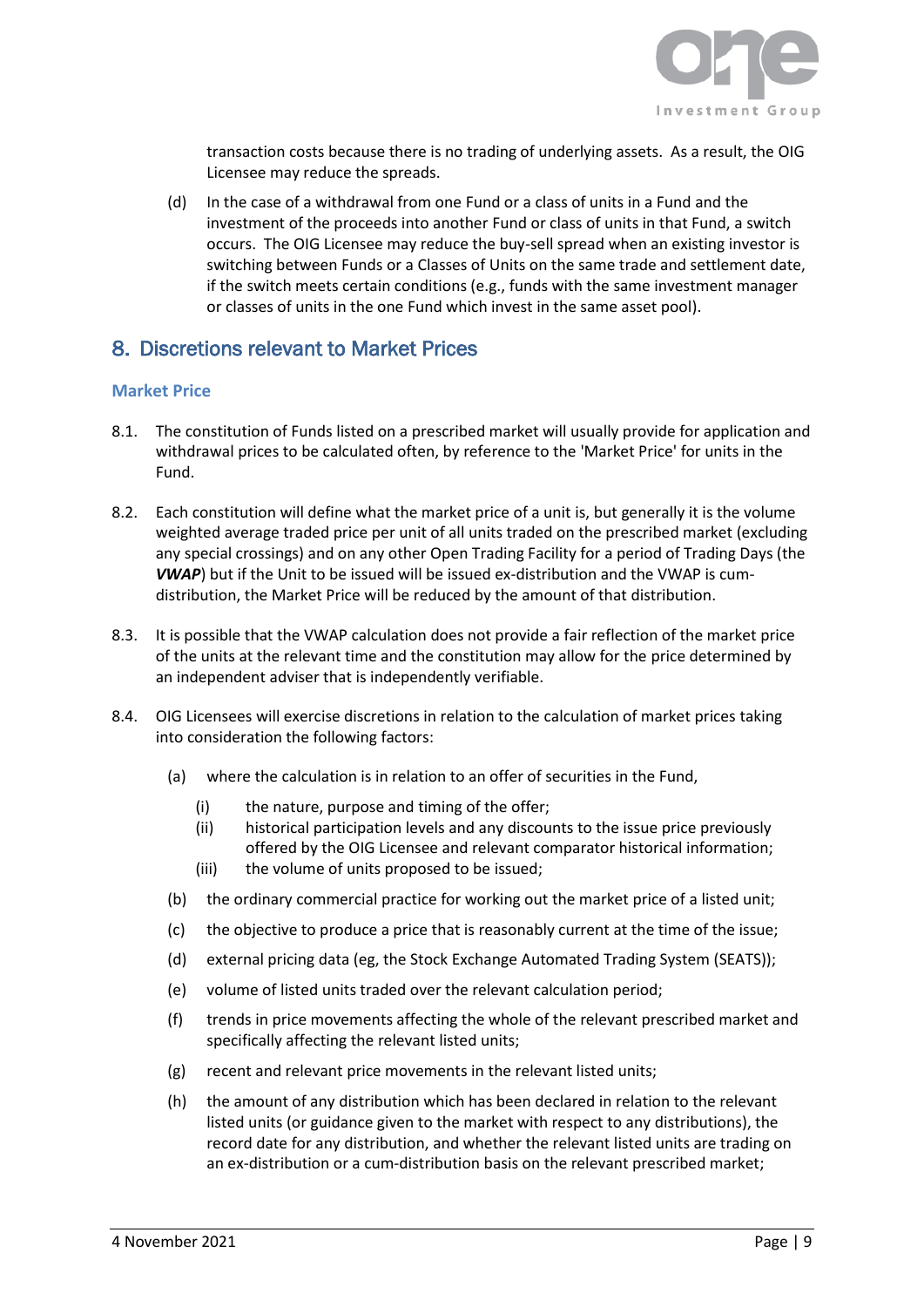

transaction costs because there is no trading of underlying assets. As a result, the OIG Licensee may reduce the spreads.

(d) In the case of a withdrawal from one Fund or a class of units in a Fund and the investment of the proceeds into another Fund or class of units in that Fund, a switch occurs. The OIG Licensee may reduce the buy-sell spread when an existing investor is switching between Funds or a Classes of Units on the same trade and settlement date, if the switch meets certain conditions (e.g., funds with the same investment manager or classes of units in the one Fund which invest in the same asset pool).

## <span id="page-9-0"></span>8. Discretions relevant to Market Prices

#### **Market Price**

- 8.1. The constitution of Funds listed on a prescribed market will usually provide for application and withdrawal prices to be calculated often, by reference to the 'Market Price' for units in the Fund.
- 8.2. Each constitution will define what the market price of a unit is, but generally it is the volume weighted average traded price per unit of all units traded on the prescribed market (excluding any special crossings) and on any other Open Trading Facility for a period of Trading Days (the *VWAP*) but if the Unit to be issued will be issued ex-distribution and the VWAP is cumdistribution, the Market Price will be reduced by the amount of that distribution.
- 8.3. It is possible that the VWAP calculation does not provide a fair reflection of the market price of the units at the relevant time and the constitution may allow for the price determined by an independent adviser that is independently verifiable.
- 8.4. OIG Licensees will exercise discretions in relation to the calculation of market prices taking into consideration the following factors:
	- (a) where the calculation is in relation to an offer of securities in the Fund,
		- (i) the nature, purpose and timing of the offer;
		- (ii) historical participation levels and any discounts to the issue price previously offered by the OIG Licensee and relevant comparator historical information;
		- (iii) the volume of units proposed to be issued;
	- (b) the ordinary commercial practice for working out the market price of a listed unit;
	- (c) the objective to produce a price that is reasonably current at the time of the issue;
	- (d) external pricing data (eg, the Stock Exchange Automated Trading System (SEATS));
	- (e) volume of listed units traded over the relevant calculation period;
	- (f) trends in price movements affecting the whole of the relevant prescribed market and specifically affecting the relevant listed units;
	- (g) recent and relevant price movements in the relevant listed units;
	- (h) the amount of any distribution which has been declared in relation to the relevant listed units (or guidance given to the market with respect to any distributions), the record date for any distribution, and whether the relevant listed units are trading on an ex-distribution or a cum-distribution basis on the relevant prescribed market;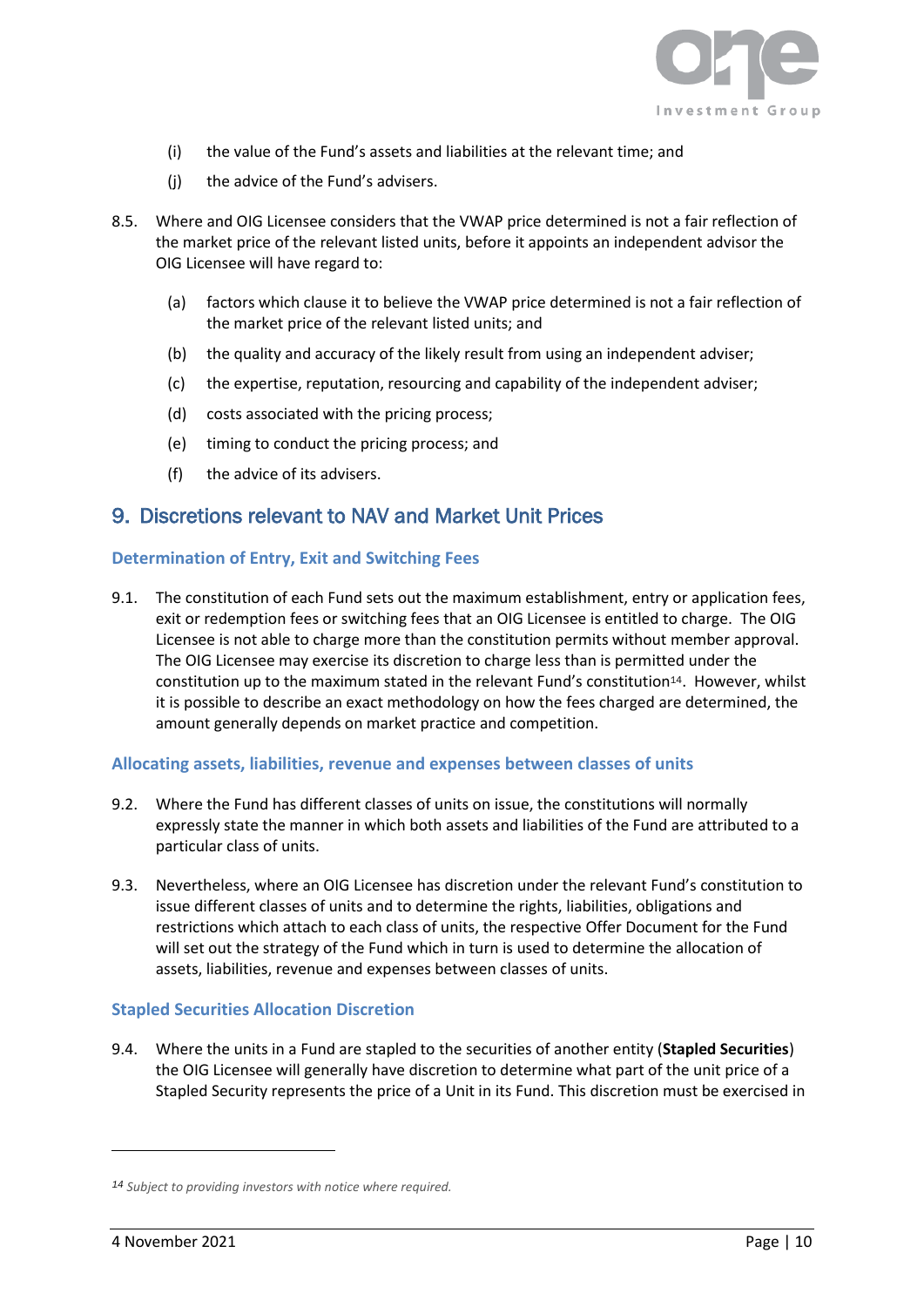

- (i) the value of the Fund's assets and liabilities at the relevant time; and
- (j) the advice of the Fund's advisers.
- 8.5. Where and OIG Licensee considers that the VWAP price determined is not a fair reflection of the market price of the relevant listed units, before it appoints an independent advisor the OIG Licensee will have regard to:
	- (a) factors which clause it to believe the VWAP price determined is not a fair reflection of the market price of the relevant listed units; and
	- (b) the quality and accuracy of the likely result from using an independent adviser;
	- (c) the expertise, reputation, resourcing and capability of the independent adviser;
	- (d) costs associated with the pricing process;
	- (e) timing to conduct the pricing process; and
	- (f) the advice of its advisers.

## <span id="page-10-0"></span>9. Discretions relevant to NAV and Market Unit Prices

#### **Determination of Entry, Exit and Switching Fees**

9.1. The constitution of each Fund sets out the maximum establishment, entry or application fees, exit or redemption fees or switching fees that an OIG Licensee is entitled to charge. The OIG Licensee is not able to charge more than the constitution permits without member approval. The OIG Licensee may exercise its discretion to charge less than is permitted under the constitution up to the maximum stated in the relevant Fund's constitution<sup>14</sup>. However, whilst it is possible to describe an exact methodology on how the fees charged are determined, the amount generally depends on market practice and competition.

#### **Allocating assets, liabilities, revenue and expenses between classes of units**

- 9.2. Where the Fund has different classes of units on issue, the constitutions will normally expressly state the manner in which both assets and liabilities of the Fund are attributed to a particular class of units.
- 9.3. Nevertheless, where an OIG Licensee has discretion under the relevant Fund's constitution to issue different classes of units and to determine the rights, liabilities, obligations and restrictions which attach to each class of units, the respective Offer Document for the Fund will set out the strategy of the Fund which in turn is used to determine the allocation of assets, liabilities, revenue and expenses between classes of units.

#### **Stapled Securities Allocation Discretion**

9.4. Where the units in a Fund are stapled to the securities of another entity (**Stapled Securities**) the OIG Licensee will generally have discretion to determine what part of the unit price of a Stapled Security represents the price of a Unit in its Fund. This discretion must be exercised in

*<sup>14</sup> Subject to providing investors with notice where required.*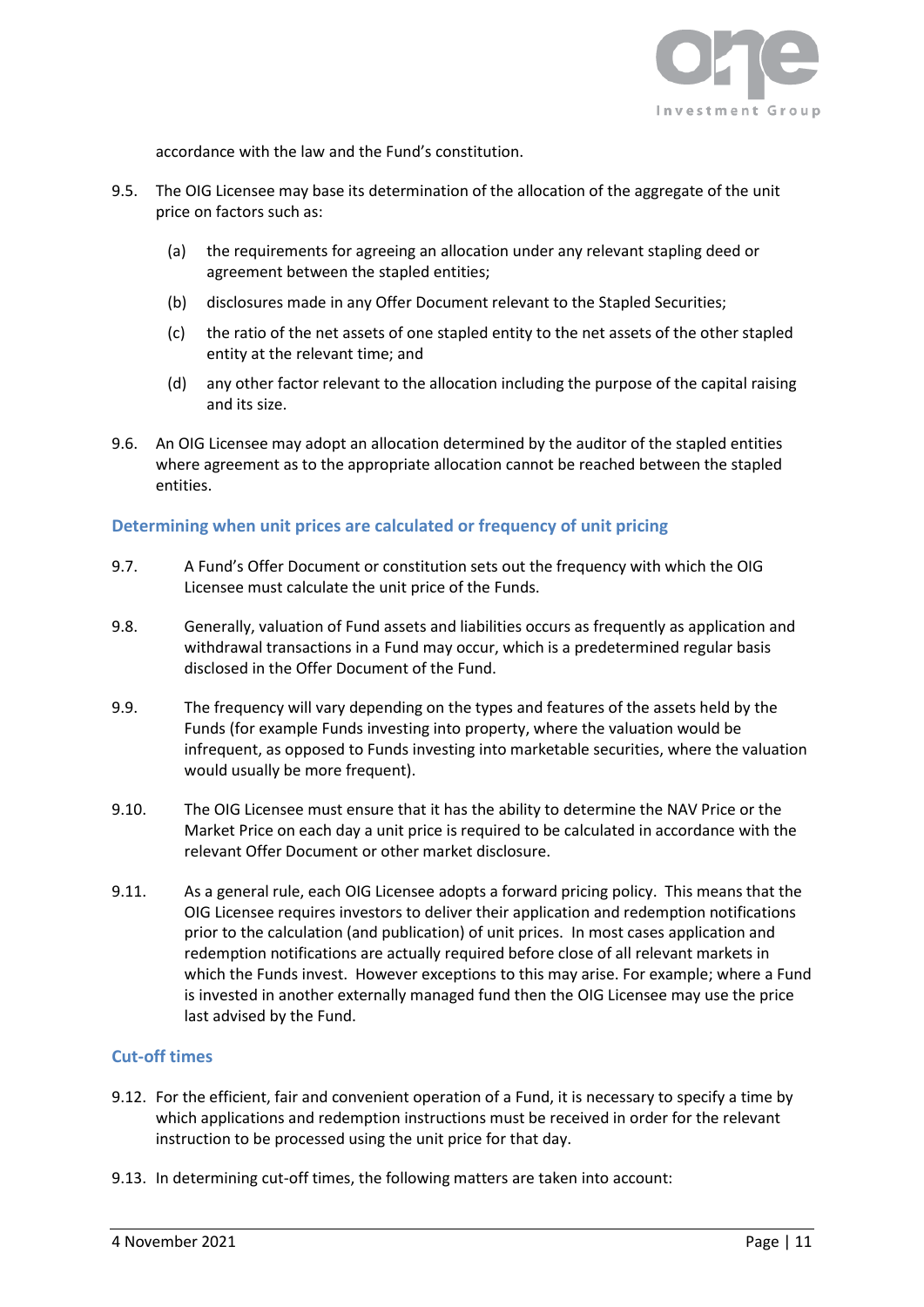![](_page_11_Picture_0.jpeg)

accordance with the law and the Fund's constitution.

- 9.5. The OIG Licensee may base its determination of the allocation of the aggregate of the unit price on factors such as:
	- (a) the requirements for agreeing an allocation under any relevant stapling deed or agreement between the stapled entities;
	- (b) disclosures made in any Offer Document relevant to the Stapled Securities;
	- (c) the ratio of the net assets of one stapled entity to the net assets of the other stapled entity at the relevant time; and
	- (d) any other factor relevant to the allocation including the purpose of the capital raising and its size.
- 9.6. An OIG Licensee may adopt an allocation determined by the auditor of the stapled entities where agreement as to the appropriate allocation cannot be reached between the stapled entities.

#### **Determining when unit prices are calculated or frequency of unit pricing**

- 9.7. A Fund's Offer Document or constitution sets out the frequency with which the OIG Licensee must calculate the unit price of the Funds.
- 9.8. Generally, valuation of Fund assets and liabilities occurs as frequently as application and withdrawal transactions in a Fund may occur, which is a predetermined regular basis disclosed in the Offer Document of the Fund.
- 9.9. The frequency will vary depending on the types and features of the assets held by the Funds (for example Funds investing into property, where the valuation would be infrequent, as opposed to Funds investing into marketable securities, where the valuation would usually be more frequent).
- 9.10. The OIG Licensee must ensure that it has the ability to determine the NAV Price or the Market Price on each day a unit price is required to be calculated in accordance with the relevant Offer Document or other market disclosure.
- 9.11. As a general rule, each OIG Licensee adopts a forward pricing policy. This means that the OIG Licensee requires investors to deliver their application and redemption notifications prior to the calculation (and publication) of unit prices. In most cases application and redemption notifications are actually required before close of all relevant markets in which the Funds invest. However exceptions to this may arise. For example; where a Fund is invested in another externally managed fund then the OIG Licensee may use the price last advised by the Fund.

#### **Cut-off times**

- 9.12. For the efficient, fair and convenient operation of a Fund, it is necessary to specify a time by which applications and redemption instructions must be received in order for the relevant instruction to be processed using the unit price for that day.
- 9.13. In determining cut-off times, the following matters are taken into account: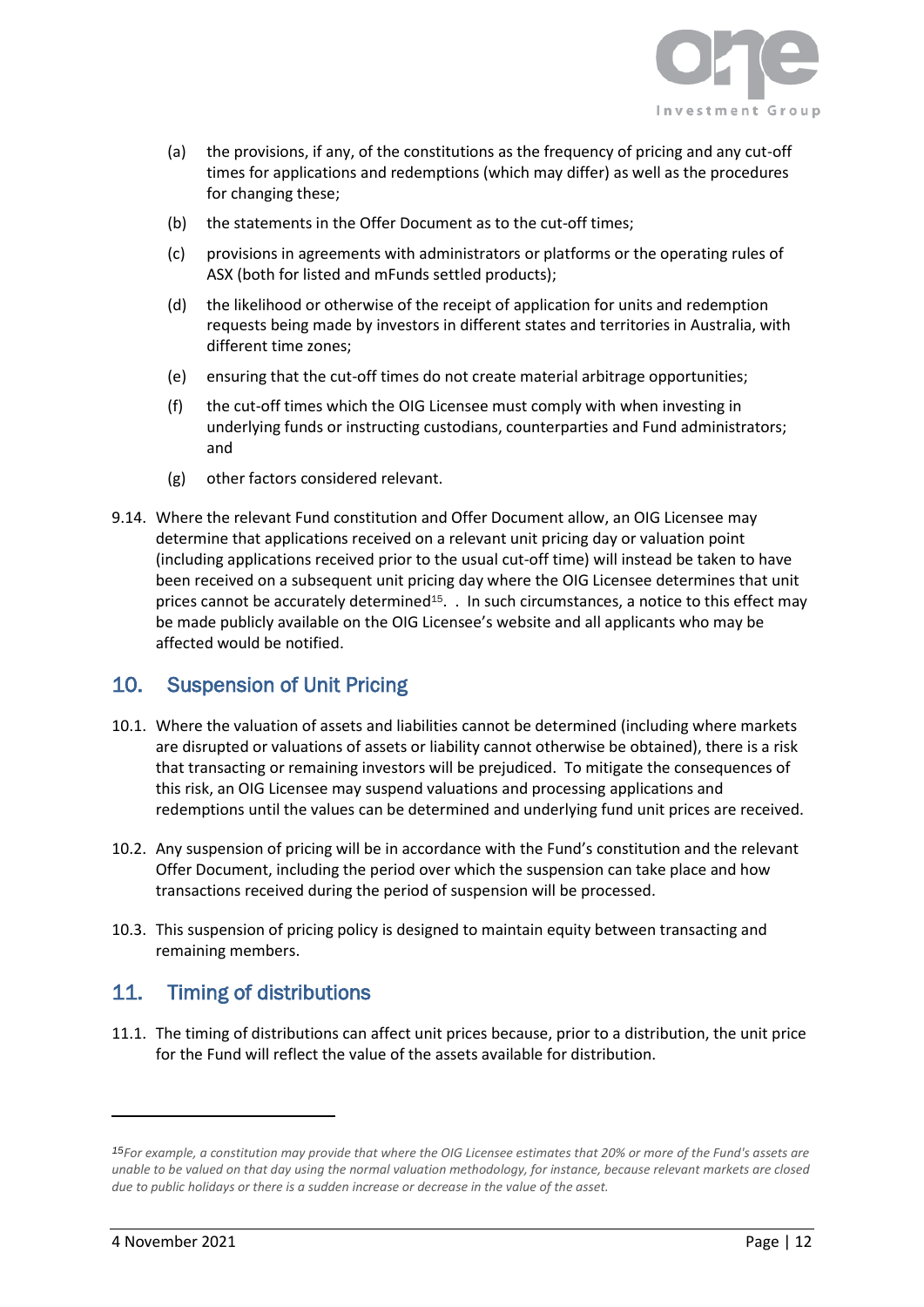![](_page_12_Picture_0.jpeg)

- (a) the provisions, if any, of the constitutions as the frequency of pricing and any cut-off times for applications and redemptions (which may differ) as well as the procedures for changing these;
- (b) the statements in the Offer Document as to the cut-off times;
- (c) provisions in agreements with administrators or platforms or the operating rules of ASX (both for listed and mFunds settled products);
- (d) the likelihood or otherwise of the receipt of application for units and redemption requests being made by investors in different states and territories in Australia, with different time zones;
- (e) ensuring that the cut-off times do not create material arbitrage opportunities;
- (f) the cut-off times which the OIG Licensee must comply with when investing in underlying funds or instructing custodians, counterparties and Fund administrators; and
- (g) other factors considered relevant.
- 9.14. Where the relevant Fund constitution and Offer Document allow, an OIG Licensee may determine that applications received on a relevant unit pricing day or valuation point (including applications received prior to the usual cut-off time) will instead be taken to have been received on a subsequent unit pricing day where the OIG Licensee determines that unit prices cannot be accurately determined<sup>15</sup>. . In such circumstances, a notice to this effect may be made publicly available on the OIG Licensee's website and all applicants who may be affected would be notified.

## <span id="page-12-0"></span>10. Suspension of Unit Pricing

- 10.1. Where the valuation of assets and liabilities cannot be determined (including where markets are disrupted or valuations of assets or liability cannot otherwise be obtained), there is a risk that transacting or remaining investors will be prejudiced. To mitigate the consequences of this risk, an OIG Licensee may suspend valuations and processing applications and redemptions until the values can be determined and underlying fund unit prices are received.
- 10.2. Any suspension of pricing will be in accordance with the Fund's constitution and the relevant Offer Document, including the period over which the suspension can take place and how transactions received during the period of suspension will be processed.
- 10.3. This suspension of pricing policy is designed to maintain equity between transacting and remaining members.

## <span id="page-12-1"></span>11. Timing of distributions

11.1. The timing of distributions can affect unit prices because, prior to a distribution, the unit price for the Fund will reflect the value of the assets available for distribution.

*<sup>15</sup>For example, a constitution may provide that where the OIG Licensee estimates that 20% or more of the Fund's assets are unable to be valued on that day using the normal valuation methodology, for instance, because relevant markets are closed due to public holidays or there is a sudden increase or decrease in the value of the asset.*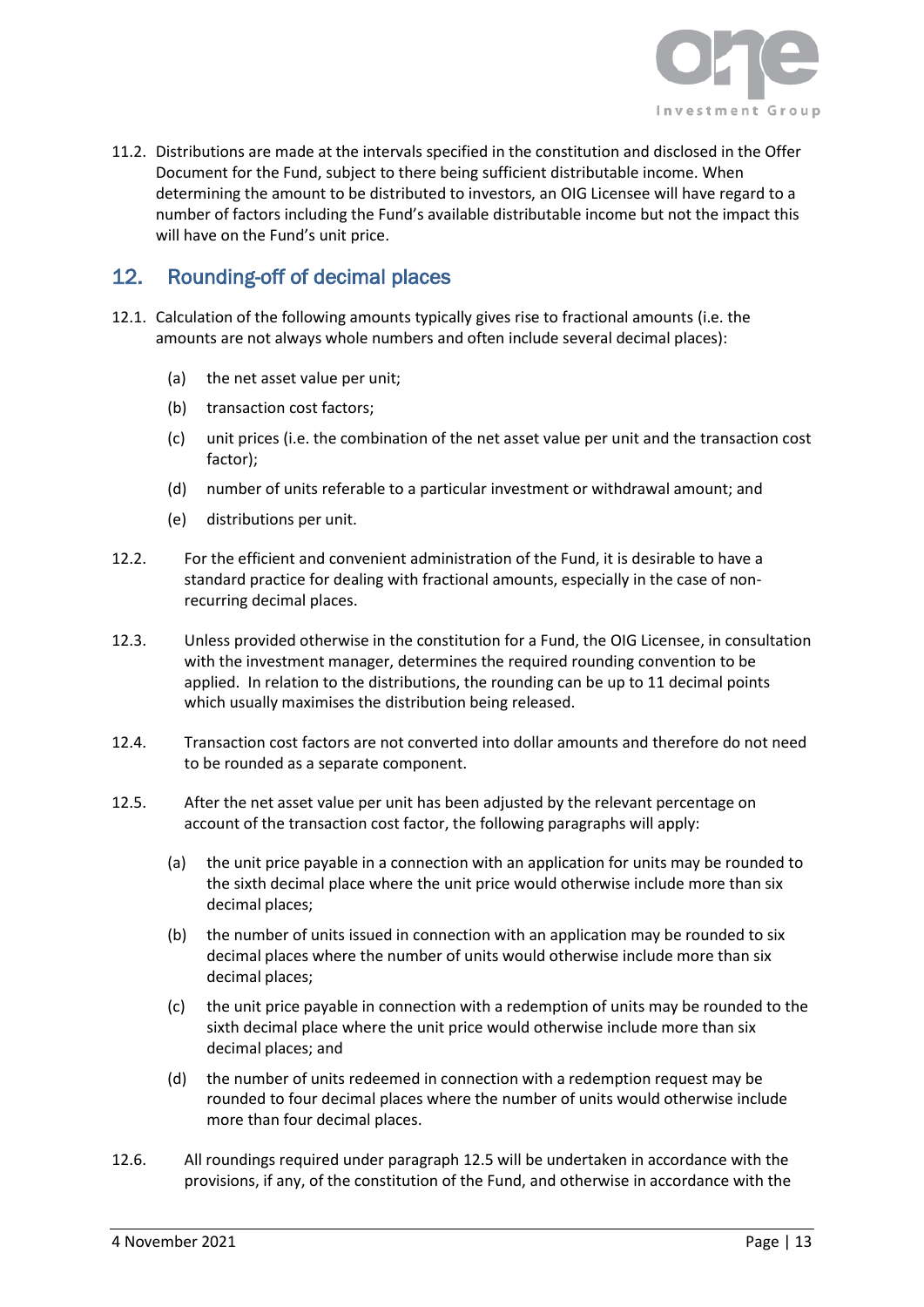![](_page_13_Picture_0.jpeg)

11.2. Distributions are made at the intervals specified in the constitution and disclosed in the Offer Document for the Fund, subject to there being sufficient distributable income. When determining the amount to be distributed to investors, an OIG Licensee will have regard to a number of factors including the Fund's available distributable income but not the impact this will have on the Fund's unit price.

## <span id="page-13-0"></span>12. Rounding-off of decimal places

- 12.1. Calculation of the following amounts typically gives rise to fractional amounts (i.e. the amounts are not always whole numbers and often include several decimal places):
	- (a) the net asset value per unit;
	- (b) transaction cost factors;
	- (c) unit prices (i.e. the combination of the net asset value per unit and the transaction cost factor);
	- (d) number of units referable to a particular investment or withdrawal amount; and
	- (e) distributions per unit.
- 12.2. For the efficient and convenient administration of the Fund, it is desirable to have a standard practice for dealing with fractional amounts, especially in the case of nonrecurring decimal places.
- 12.3. Unless provided otherwise in the constitution for a Fund, the OIG Licensee, in consultation with the investment manager, determines the required rounding convention to be applied. In relation to the distributions, the rounding can be up to 11 decimal points which usually maximises the distribution being released.
- 12.4. Transaction cost factors are not converted into dollar amounts and therefore do not need to be rounded as a separate component.
- <span id="page-13-1"></span>12.5. After the net asset value per unit has been adjusted by the relevant percentage on account of the transaction cost factor, the following paragraphs will apply:
	- (a) the unit price payable in a connection with an application for units may be rounded to the sixth decimal place where the unit price would otherwise include more than six decimal places;
	- (b) the number of units issued in connection with an application may be rounded to six decimal places where the number of units would otherwise include more than six decimal places;
	- (c) the unit price payable in connection with a redemption of units may be rounded to the sixth decimal place where the unit price would otherwise include more than six decimal places; and
	- (d) the number of units redeemed in connection with a redemption request may be rounded to four decimal places where the number of units would otherwise include more than four decimal places.
- 12.6. All roundings required under paragrap[h 12.5](#page-13-1) will be undertaken in accordance with the provisions, if any, of the constitution of the Fund, and otherwise in accordance with the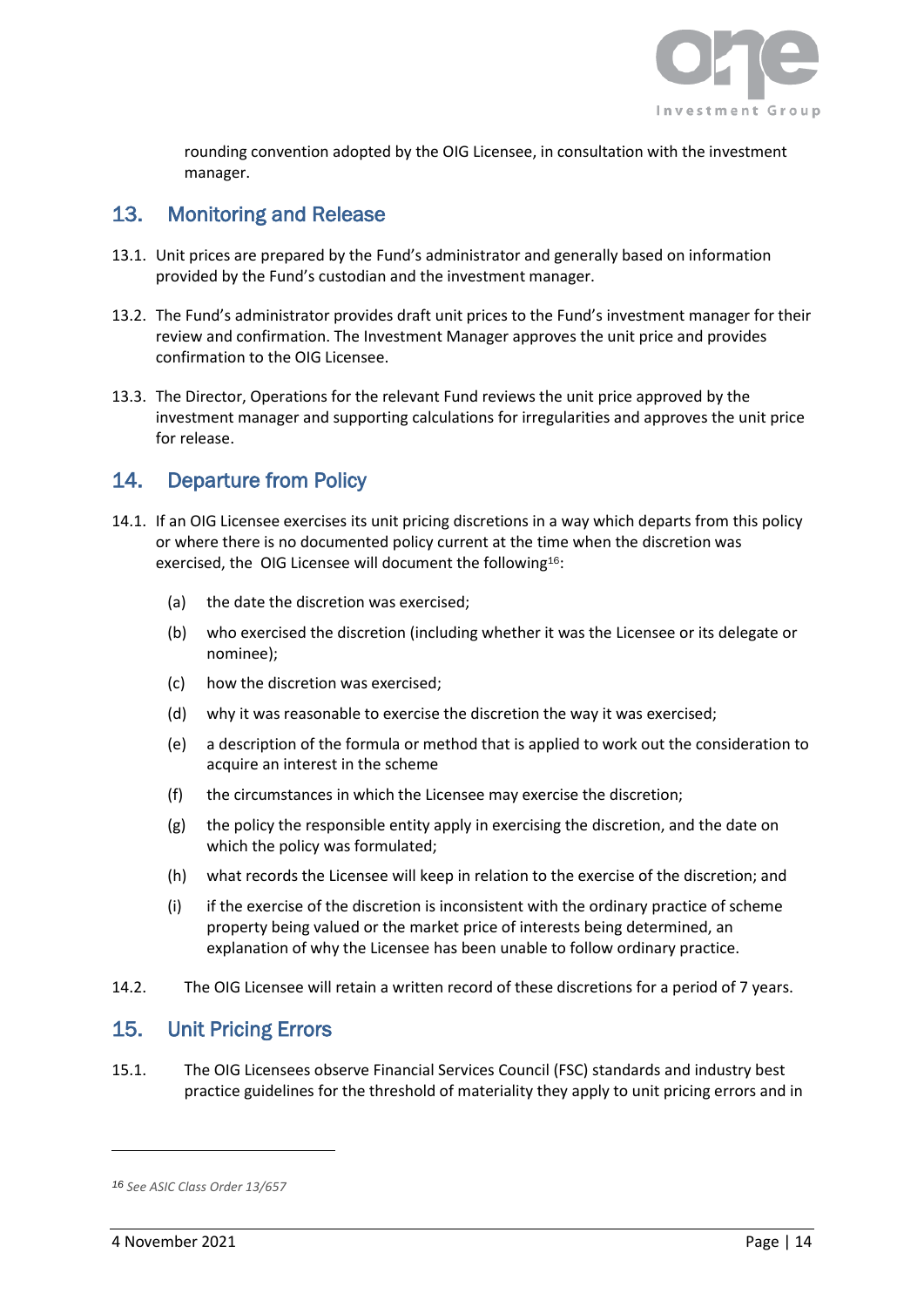![](_page_14_Picture_0.jpeg)

rounding convention adopted by the OIG Licensee, in consultation with the investment manager.

## <span id="page-14-0"></span>13. Monitoring and Release

- 13.1. Unit prices are prepared by the Fund's administrator and generally based on information provided by the Fund's custodian and the investment manager.
- 13.2. The Fund's administrator provides draft unit prices to the Fund's investment manager for their review and confirmation. The Investment Manager approves the unit price and provides confirmation to the OIG Licensee.
- 13.3. The Director, Operations for the relevant Fund reviews the unit price approved by the investment manager and supporting calculations for irregularities and approves the unit price for release.

## <span id="page-14-1"></span>14. Departure from Policy

- 14.1. If an OIG Licensee exercises its unit pricing discretions in a way which departs from this policy or where there is no documented policy current at the time when the discretion was exercised, the OIG Licensee will document the following16:
	- (a) the date the discretion was exercised;
	- (b) who exercised the discretion (including whether it was the Licensee or its delegate or nominee);
	- (c) how the discretion was exercised;
	- (d) why it was reasonable to exercise the discretion the way it was exercised;
	- (e) a description of the formula or method that is applied to work out the consideration to acquire an interest in the scheme
	- (f) the circumstances in which the Licensee may exercise the discretion;
	- (g) the policy the responsible entity apply in exercising the discretion, and the date on which the policy was formulated;
	- (h) what records the Licensee will keep in relation to the exercise of the discretion; and
	- (i) if the exercise of the discretion is inconsistent with the ordinary practice of scheme property being valued or the market price of interests being determined, an explanation of why the Licensee has been unable to follow ordinary practice.
- 14.2. The OIG Licensee will retain a written record of these discretions for a period of 7 years.

## <span id="page-14-2"></span>15. Unit Pricing Errors

15.1. The OIG Licensees observe Financial Services Council (FSC) standards and industry best practice guidelines for the threshold of materiality they apply to unit pricing errors and in

*<sup>16</sup> See ASIC Class Order 13/657*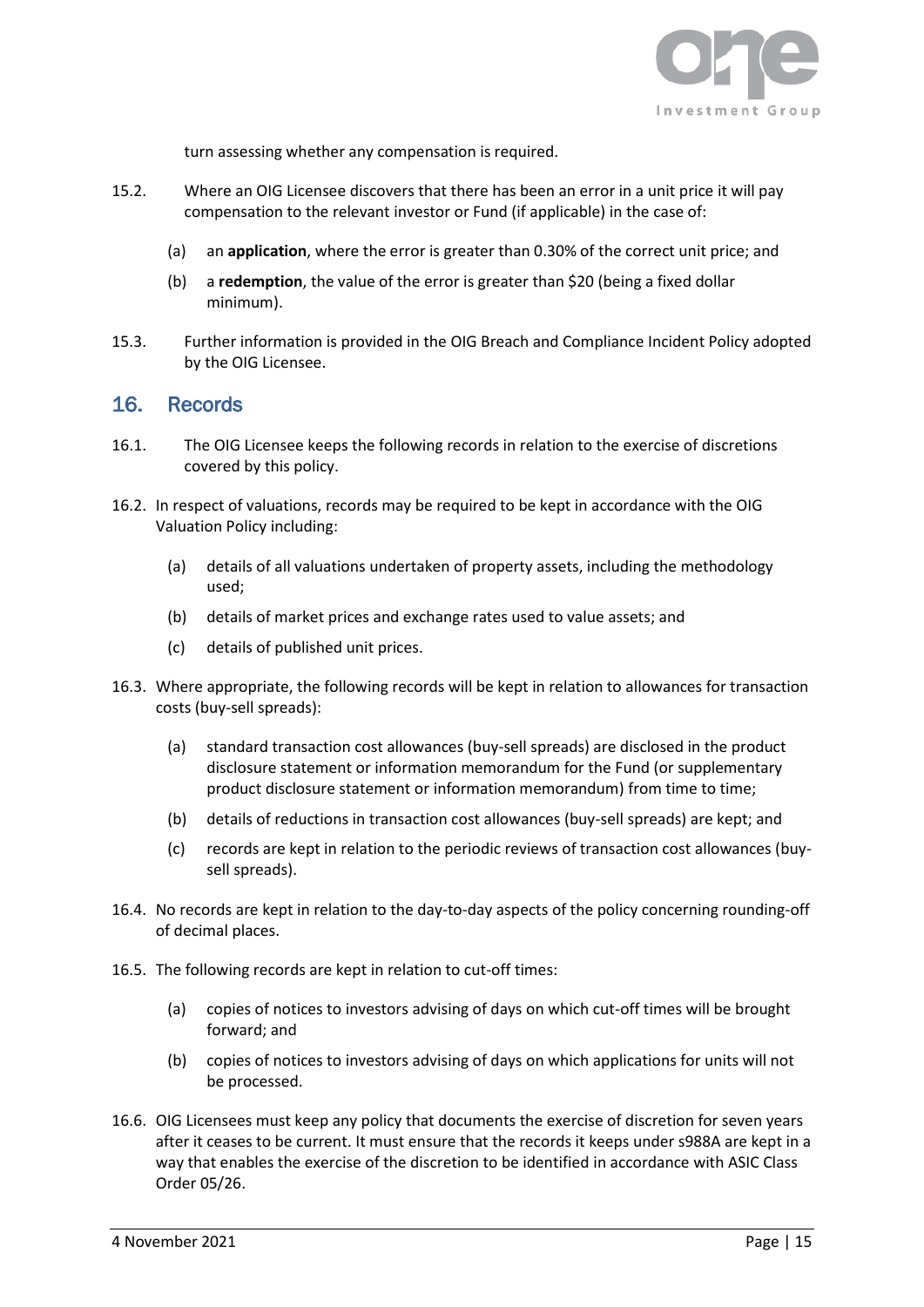![](_page_15_Picture_0.jpeg)

turn assessing whether any compensation is required.

- 15.2. Where an OIG Licensee discovers that there has been an error in a unit price it will pay compensation to the relevant investor or Fund (if applicable) in the case of:
	- (a) an **application**, where the error is greater than 0.30% of the correct unit price; and
	- (b) a **redemption**, the value of the error is greater than \$20 (being a fixed dollar minimum).
- 15.3. Further information is provided in the OIG Breach and Compliance Incident Policy adopted by the OIG Licensee.

#### <span id="page-15-0"></span>16. Records

- 16.1. The OIG Licensee keeps the following records in relation to the exercise of discretions covered by this policy.
- 16.2. In respect of valuations, records may be required to be kept in accordance with the OIG Valuation Policy including:
	- (a) details of all valuations undertaken of property assets, including the methodology used;
	- (b) details of market prices and exchange rates used to value assets; and
	- (c) details of published unit prices.
- 16.3. Where appropriate, the following records will be kept in relation to allowances for transaction costs (buy-sell spreads):
	- (a) standard transaction cost allowances (buy-sell spreads) are disclosed in the product disclosure statement or information memorandum for the Fund (or supplementary product disclosure statement or information memorandum) from time to time;
	- (b) details of reductions in transaction cost allowances (buy-sell spreads) are kept; and
	- (c) records are kept in relation to the periodic reviews of transaction cost allowances (buysell spreads).
- 16.4. No records are kept in relation to the day-to-day aspects of the policy concerning rounding-off of decimal places.
- 16.5. The following records are kept in relation to cut-off times:
	- (a) copies of notices to investors advising of days on which cut-off times will be brought forward; and
	- (b) copies of notices to investors advising of days on which applications for units will not be processed.
- 16.6. OIG Licensees must keep any policy that documents the exercise of discretion for seven years after it ceases to be current. It must ensure that the records it keeps under s988A are kept in a way that enables the exercise of the discretion to be identified in accordance with ASIC Class Order 05/26.